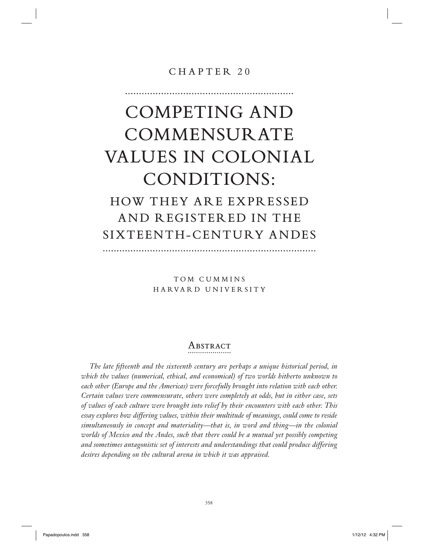#### CHAPTER 20

# COMPETING AND COMMENSURATE VALUES IN COLONIAL CONDITIONS: HOW THEY ARE EXPR ESSED AND REGISTERED IN THE SIXTEENTH-CENTURY ANDES

TOM CUMMINS H A RVA R D U N I V E R SI T Y

#### Abstract

*The late fifteenth and the sixteenth century are perhaps a unique historical period, in which the values (numerical, ethical, and economical) of two worlds hitherto unknown to*  each other (Europe and the Americas) were forcefully brought into relation with each other. *Certain values were commensurate, others were completely at odds, but in either case, sets of values of each culture were brought into relief by their encounters with each other. This essay explores how differing values, within their multitude of meanings, could come to reside simultaneously in concept and materiality—that is, in word and thing—in the colonial worlds of Mexico and the Andes, such that there could be a mutual yet possibly competing and sometimes antagonistic set of interests and understandings that could produce differing desires depending on the cultural arena in which it was appraised.*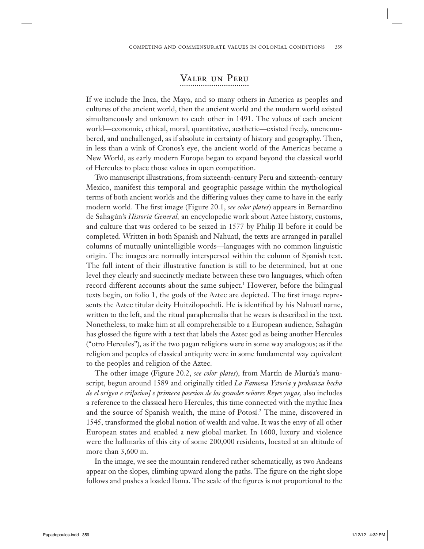### Valer un Peru

If we include the Inca, the Maya, and so many others in America as peoples and cultures of the ancient world, then the ancient world and the modern world existed simultaneously and unknown to each other in 1491. The values of each ancient world—economic, ethical, moral, quantitative, aesthetic—existed freely, unencumbered, and unchallenged, as if absolute in certainty of history and geography. Then, in less than a wink of Cronos's eye, the ancient world of the Americas became a New World, as early modern Europe began to expand beyond the classical world of Hercules to place those values in open competition.

Two manuscript illustrations, from sixteenth-century Peru and sixteenth-century Mexico, manifest this temporal and geographic passage within the mythological terms of both ancient worlds and the differing values they came to have in the early modern world. The first image (Figure 20.1, *see color plates*) appears in Bernardino de Sahagún's *Historia General,* an encyclopedic work about Aztec history, customs, and culture that was ordered to be seized in 1577 by Philip II before it could be completed. Written in both Spanish and Nahuatl, the texts are arranged in parallel columns of mutually unintelligible words—languages with no common linguistic origin. The images are normally interspersed within the column of Spanish text. The full intent of their illustrative function is still to be determined, but at one level they clearly and succinctly mediate between these two languages, which often record different accounts about the same subject.<sup>1</sup> However, before the bilingual texts begin, on folio 1, the gods of the Aztec are depicted. The first image represents the Aztec titular deity Huitzilopochtli. He is identified by his Nahuatl name, written to the left, and the ritual paraphernalia that he wears is described in the text. Nonetheless, to make him at all comprehensible to a European audience, Sahagún has glossed the figure with a text that labels the Aztec god as being another Hercules ("otro Hercules"), as if the two pagan religions were in some way analogous; as if the religion and peoples of classical antiquity were in some fundamental way equivalent to the peoples and religion of the Aztec.

The other image (Figure 20.2, *see color plates*), from Martín de Murúa's manuscript, begun around 1589 and originally titled *La Famossa Ystoria y probanza hecha de el origen e cri[acion] e primera posesion de los grandes señores Reyes yngas,* also includes a reference to the classical hero Hercules, this time connected with the mythic Inca and the source of Spanish wealth, the mine of Potosí.<sup>2</sup> The mine, discovered in 1545, transformed the global notion of wealth and value. It was the envy of all other European states and enabled a new global market. In 1600, luxury and violence were the hallmarks of this city of some 200,000 residents, located at an altitude of more than 3,600 m.

In the image, we see the mountain rendered rather schematically, as two Andeans appear on the slopes, climbing upward along the paths. The figure on the right slope follows and pushes a loaded llama. The scale of the figures is not proportional to the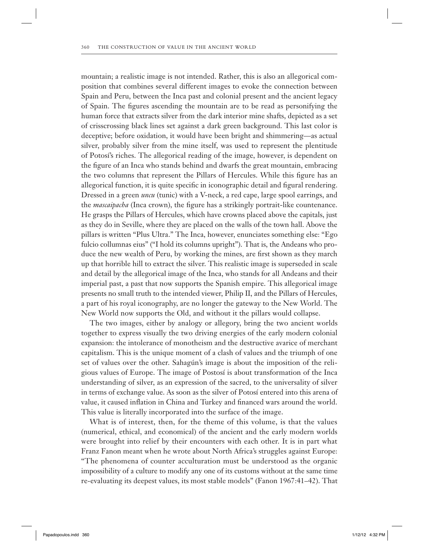mountain; a realistic image is not intended. Rather, this is also an allegorical composition that combines several different images to evoke the connection between Spain and Peru, between the Inca past and colonial present and the ancient legacy of Spain. The figures ascending the mountain are to be read as personifying the human force that extracts silver from the dark interior mine shafts, depicted as a set of crisscrossing black lines set against a dark green background. This last color is deceptive; before oxidation, it would have been bright and shimmering—as actual silver, probably silver from the mine itself, was used to represent the plentitude of Potosí's riches. The allegorical reading of the image, however, is dependent on the figure of an Inca who stands behind and dwarfs the great mountain, embracing the two columns that represent the Pillars of Hercules. While this figure has an allegorical function, it is quite specific in iconographic detail and figural rendering. Dressed in a green *uncu* (tunic) with a V-neck, a red cape, large spool earrings, and the *mascaipacha* (Inca crown), the figure has a strikingly portrait-like countenance. He grasps the Pillars of Hercules, which have crowns placed above the capitals, just as they do in Seville, where they are placed on the walls of the town hall. Above the pillars is written "Plus Ultra." The Inca, however, enunciates something else: "Ego fulcio collumnas eius" ("I hold its columns upright"). That is, the Andeans who produce the new wealth of Peru, by working the mines, are first shown as they march up that horrible hill to extract the silver. This realistic image is superseded in scale and detail by the allegorical image of the Inca, who stands for all Andeans and their imperial past, a past that now supports the Spanish empire. This allegorical image presents no small truth to the intended viewer, Philip II, and the Pillars of Hercules, a part of his royal iconography, are no longer the gateway to the New World. The New World now supports the Old, and without it the pillars would collapse.

The two images, either by analogy or allegory, bring the two ancient worlds together to express visually the two driving energies of the early modern colonial expansion: the intolerance of monotheism and the destructive avarice of merchant capitalism. This is the unique moment of a clash of values and the triumph of one set of values over the other. Sahagún's image is about the imposition of the religious values of Europe. The image of Postosí is about transformation of the Inca understanding of silver, as an expression of the sacred, to the universality of silver in terms of exchange value. As soon as the silver of Potosí entered into this arena of value, it caused inflation in China and Turkey and financed wars around the world. This value is literally incorporated into the surface of the image.

What is of interest, then, for the theme of this volume, is that the values (numerical, ethical, and economical) of the ancient and the early modern worlds were brought into relief by their encounters with each other. It is in part what Franz Fanon meant when he wrote about North Africa's struggles against Europe: "The phenomena of counter acculturation must be understood as the organic impossibility of a culture to modify any one of its customs without at the same time re-evaluating its deepest values, its most stable models" (Fanon 1967:41–42). That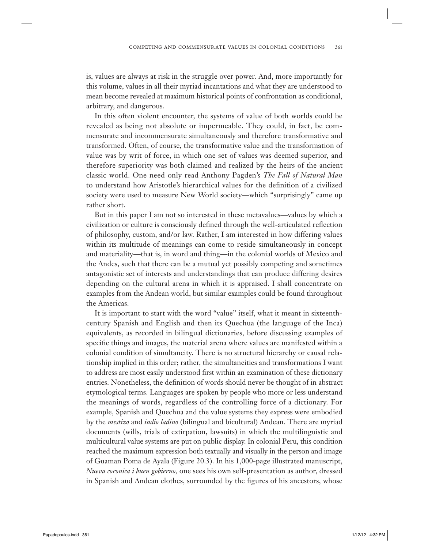is, values are always at risk in the struggle over power. And, more importantly for this volume, values in all their myriad incantations and what they are understood to mean become revealed at maximum historical points of confrontation as conditional, arbitrary, and dangerous.

In this often violent encounter, the systems of value of both worlds could be revealed as being not absolute or impermeable. They could, in fact, be commensurate and incommensurate simultaneously and therefore transformative and transformed. Often, of course, the transformative value and the transformation of value was by writ of force, in which one set of values was deemed superior, and therefore superiority was both claimed and realized by the heirs of the ancient classic world. One need only read Anthony Pagden's *The Fall of Natural Man*  to understand how Aristotle's hierarchical values for the definition of a civilized society were used to measure New World society—which "surprisingly" came up rather short.

But in this paper I am not so interested in these metavalues—values by which a civilization or culture is consciously defined through the well-articulated reflection of philosophy, custom, and/or law. Rather, I am interested in how differing values within its multitude of meanings can come to reside simultaneously in concept and materiality—that is, in word and thing—in the colonial worlds of Mexico and the Andes, such that there can be a mutual yet possibly competing and sometimes antagonistic set of interests and understandings that can produce differing desires depending on the cultural arena in which it is appraised. I shall concentrate on examples from the Andean world, but similar examples could be found throughout the Americas.

It is important to start with the word "value" itself, what it meant in sixteenthcentury Spanish and English and then its Quechua (the language of the Inca) equivalents, as recorded in bilingual dictionaries, before discussing examples of specific things and images, the material arena where values are manifested within a colonial condition of simultaneity. There is no structural hierarchy or causal relationship implied in this order; rather, the simultaneities and transformations I want to address are most easily understood first within an examination of these dictionary entries. Nonetheless, the definition of words should never be thought of in abstract etymological terms. Languages are spoken by people who more or less understand the meanings of words, regardless of the controlling force of a dictionary. For example, Spanish and Quechua and the value systems they express were embodied by the *mestizo* and *indio ladino* (bilingual and bicultural) Andean. There are myriad documents (wills, trials of extirpation, lawsuits) in which the multilinguistic and multicultural value systems are put on public display. In colonial Peru, this condition reached the maximum expression both textually and visually in the person and image of Guaman Poma de Ayala (Figure 20.3). In his 1,000-page illustrated manuscript, *Nueva coronica i buen gobierno,* one sees his own self-presentation as author, dressed in Spanish and Andean clothes, surrounded by the figures of his ancestors, whose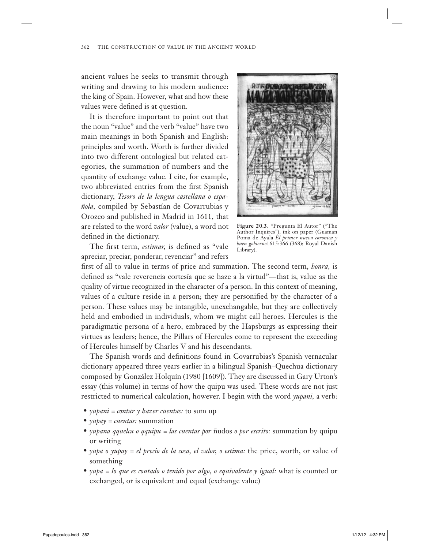ancient values he seeks to transmit through writing and drawing to his modern audience: the king of Spain. However, what and how these values were defined is at question.

It is therefore important to point out that the noun "value" and the verb "value" have two main meanings in both Spanish and English: principles and worth. Worth is further divided into two different ontological but related categories, the summation of numbers and the quantity of exchange value. I cite, for example, two abbreviated entries from the first Spanish dictionary, *Tesoro de la lengua castellana o española,* compiled by Sebastían de Covarrubias y Orozco and published in Madrid in 1611, that are related to the word *valor* (value), a word not defined in the dictionary.

The first term, *estimar,* is defined as "vale apreciar, preciar, ponderar, revenciar" and refers



**Figure 20.3.** "Pregunta El Autor" ("The Author Inquires"), ink on paper (Guaman Poma de Ayala *El primer nueva coronica y buen gobierno*1615:366 (368); Royal Danish Library).

first of all to value in terms of price and summation. The second term, *honra,* is defined as "vale reverencia cortesía que se haze a la virtud"—that is, value as the quality of virtue recognized in the character of a person. In this context of meaning, values of a culture reside in a person; they are personified by the character of a person. These values may be intangible, unexchangable, but they are collectively held and embodied in individuals, whom we might call heroes. Hercules is the paradigmatic persona of a hero, embraced by the Hapsburgs as expressing their virtues as leaders; hence, the Pillars of Hercules come to represent the exceeding of Hercules himself by Charles V and his descendants.

The Spanish words and definitions found in Covarrubias's Spanish vernacular dictionary appeared three years earlier in a bilingual Spanish–Quechua dictionary composed by González Holquín (1980 [1609]). They are discussed in Gary Urton's essay (this volume) in terms of how the quipu was used. These words are not just restricted to numerical calculation, however. I begin with the word *yupani,* a verb:

- *yupani = contar y hazer cuentas:* to sum up
- $\gamma u p a \gamma = \text{c}u \text{ent} \text{a}$ : summation
- UÑ*yupana qquelca o qquipu = las cuentas por* ñudos *o por escrito:* summation by quipu or writing
- UÑ*yupa o yupay = el precio de la cosa, el valor, o estima:* the price, worth, or value of something
- UÑ*yupa = lo que es contado o tenido por algo, o equivalente y igual:* what is counted or exchanged, or is equivalent and equal (exchange value)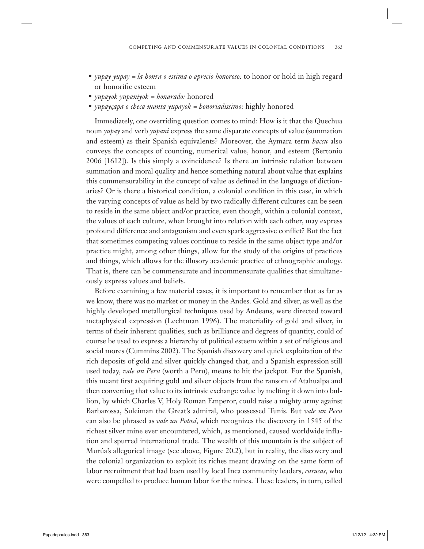- UÑ*yupay yupay = la honra o estima o aprecio honoroso:* to honor or hold in high regard or honorific esteem
- *yupayok yupaniyok = honarado:* honored
- yupayçapa o checa manta yupayok = honoriadissimo: highly honored

Immediately, one overriding question comes to mind: How is it that the Quechua noun *yupay* and verb *yupani* express the same disparate concepts of value (summation and esteem) as their Spanish equivalents? Moreover, the Aymara term *haccu* also conveys the concepts of counting, numerical value, honor, and esteem (Bertonio 2006 [1612]). Is this simply a coincidence? Is there an intrinsic relation between summation and moral quality and hence something natural about value that explains this commensurability in the concept of value as defined in the language of dictionaries? Or is there a historical condition, a colonial condition in this case, in which the varying concepts of value as held by two radically different cultures can be seen to reside in the same object and/or practice, even though, within a colonial context, the values of each culture, when brought into relation with each other, may express profound difference and antagonism and even spark aggressive conflict? But the fact that sometimes competing values continue to reside in the same object type and/or practice might, among other things, allow for the study of the origins of practices and things, which allows for the illusory academic practice of ethnographic analogy. That is, there can be commensurate and incommensurate qualities that simultaneously express values and beliefs.

Before examining a few material cases, it is important to remember that as far as we know, there was no market or money in the Andes. Gold and silver, as well as the highly developed metallurgical techniques used by Andeans, were directed toward metaphysical expression (Lechtman 1996). The materiality of gold and silver, in terms of their inherent qualities, such as brilliance and degrees of quantity, could of course be used to express a hierarchy of political esteem within a set of religious and social mores (Cummins 2002). The Spanish discovery and quick exploitation of the rich deposits of gold and silver quickly changed that, and a Spanish expression still used today, *vale un Peru* (worth a Peru), means to hit the jackpot. For the Spanish, this meant first acquiring gold and silver objects from the ransom of Atahualpa and then converting that value to its intrinsic exchange value by melting it down into bullion, by which Charles V, Holy Roman Emperor, could raise a mighty army against Barbarossa, Suleiman the Great's admiral, who possessed Tunis. But *vale un Peru* can also be phrased as *vale un Potosí*, which recognizes the discovery in 1545 of the richest silver mine ever encountered, which, as mentioned, caused worldwide inflation and spurred international trade. The wealth of this mountain is the subject of Murúa's allegorical image (see above, Figure 20.2), but in reality, the discovery and the colonial organization to exploit its riches meant drawing on the same form of labor recruitment that had been used by local Inca community leaders, *curacas*, who were compelled to produce human labor for the mines. These leaders, in turn, called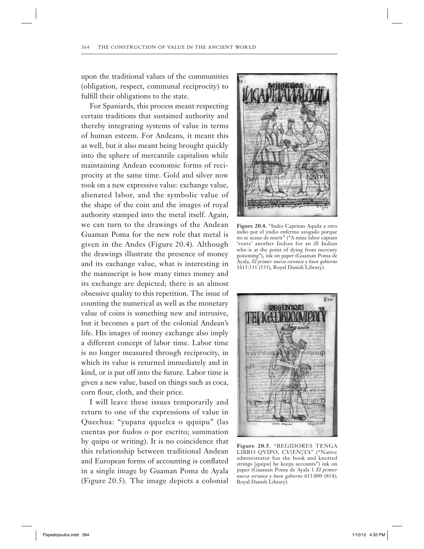upon the traditional values of the communities (obligation, respect, communal reciprocity) to fulfill their obligations to the state.

For Spaniards, this process meant respecting certain traditions that sustained authority and thereby integrating systems of value in terms of human esteem. For Andeans, it meant this as well, but it also meant being brought quickly into the sphere of mercantile capitalism while maintaining Andean economic forms of reciprocity at the same time. Gold and silver now took on a new expressive value: exchange value, alienated labor, and the symbolic value of the shape of the coin and the images of royal authority stamped into the metal itself. Again, we can turn to the drawings of the Andean Guaman Poma for the new role that metal is given in the Andes (Figure 20.4)*.* Although the drawings illustrate the presence of money and its exchange value, what is interesting in the manuscript is how many times money and its exchange are depicted; there is an almost obsessive quality to this repetition. The issue of counting the numerical as well as the monetary value of coins is something new and intrusive, but it becomes a part of the colonial Andean's life. His images of money exchange also imply a different concept of labor time. Labor time is no longer measured through reciprocity, in which its value is returned immediately and in kind, or is put off into the future. Labor time is given a new value, based on things such as coca, corn flour, cloth, and their price.

I will leave these issues temporarily and return to one of the expressions of value in Quechua: "yupana qquelca o qquipu" (las cuentas por ñudos o por escrito; summation by quipu or writing). It is no coincidence that this relationship between traditional Andean and European forms of accounting is conflated in a single image by Guaman Poma de Ayala (Figure 20.5). The image depicts a colonial



**Figure 20.4.** "Indio Capritan Aquila a otro indio por el yndio enfermo azogado porque no se acaue de murir" ("A mine labor captain 'rents' another Indian for an ill Indian who is at the point of dying from mercury poisoning"), ink on paper (Guaman Poma de Ayala, *El primer nueva coronica y buen gobierno*  1615:531 (535), Royal Danish Library).



**Figure 20.5.** "REGIDORES TENGA LIBRO QVIPO, CV[EN]TA" ("Native administrator has the book and knotted strings [quipu] he keeps accounts") ink on paper (Guaman Poma de Ayala 1 *El primer nueva coronica y buen gobierno* 615:800 (814); Royal Danish Library).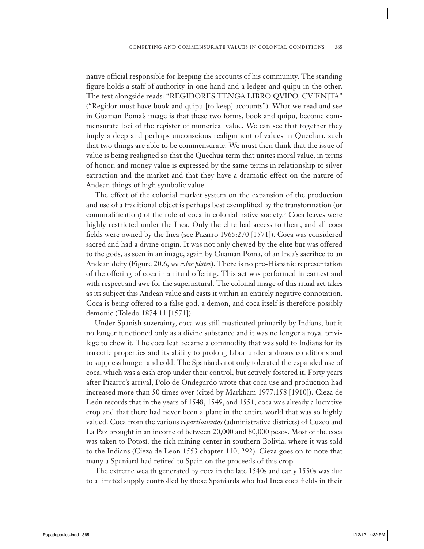native official responsible for keeping the accounts of his community. The standing figure holds a staff of authority in one hand and a ledger and quipu in the other. The text alongside reads: "REGIDORES TENGA LIBRO QVIPO*,* CV[EN]TA" ("Regidor must have book and quipu [to keep] accounts"). What we read and see in Guaman Poma's image is that these two forms, book and quipu, become commensurate loci of the register of numerical value. We can see that together they imply a deep and perhaps unconscious realignment of values in Quechua, such that two things are able to be commensurate. We must then think that the issue of value is being realigned so that the Quechua term that unites moral value, in terms of honor, and money value is expressed by the same terms in relationship to silver extraction and the market and that they have a dramatic effect on the nature of Andean things of high symbolic value.

The effect of the colonial market system on the expansion of the production and use of a traditional object is perhaps best exemplified by the transformation (or commodification) of the role of coca in colonial native society.3 Coca leaves were highly restricted under the Inca. Only the elite had access to them, and all coca fields were owned by the Inca (see Pizarro 1965:270 [1571]). Coca was considered sacred and had a divine origin. It was not only chewed by the elite but was offered to the gods, as seen in an image, again by Guaman Poma, of an Inca's sacrifice to an Andean deity (Figure 20.6, *see color plates*). There is no pre-Hispanic representation of the offering of coca in a ritual offering. This act was performed in earnest and with respect and awe for the supernatural. The colonial image of this ritual act takes as its subject this Andean value and casts it within an entirely negative connotation. Coca is being offered to a false god, a demon, and coca itself is therefore possibly demonic (Toledo 1874:11 [1571]).

Under Spanish suzerainty, coca was still masticated primarily by Indians, but it no longer functioned only as a divine substance and it was no longer a royal privilege to chew it. The coca leaf became a commodity that was sold to Indians for its narcotic properties and its ability to prolong labor under arduous conditions and to suppress hunger and cold. The Spaniards not only tolerated the expanded use of coca, which was a cash crop under their control, but actively fostered it. Forty years after Pizarro's arrival, Polo de Ondegardo wrote that coca use and production had increased more than 50 times over (cited by Markham 1977:158 [1910]). Cieza de León records that in the years of 1548, 1549, and 1551, coca was already a lucrative crop and that there had never been a plant in the entire world that was so highly valued. Coca from the various *repartimientos* (administrative districts) of Cuzco and La Paz brought in an income of between 20,000 and 80,000 pesos. Most of the coca was taken to Potosí, the rich mining center in southern Bolivia, where it was sold to the Indians (Cieza de León 1553:chapter 110, 292). Cieza goes on to note that many a Spaniard had retired to Spain on the proceeds of this crop.

The extreme wealth generated by coca in the late 1540s and early 1550s was due to a limited supply controlled by those Spaniards who had Inca coca fields in their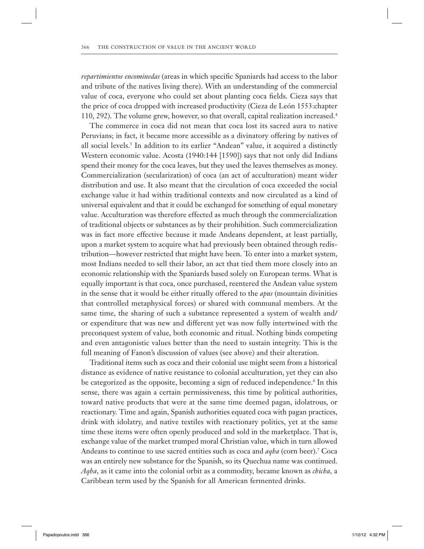*repartimientos encominedas* (areas in which specific Spaniards had access to the labor and tribute of the natives living there). With an understanding of the commercial value of coca, everyone who could set about planting coca fields. Cieza says that the price of coca dropped with increased productivity (Cieza de León 1553:chapter 110, 292). The volume grew, however, so that overall, capital realization increased.4

The commerce in coca did not mean that coca lost its sacred aura to native Peruvians; in fact, it became more accessible as a divinatory offering by natives of all social levels.<sup>5</sup> In addition to its earlier "Andean" value, it acquired a distinctly Western economic value. Acosta (1940:144 [1590]) says that not only did Indians spend their money for the coca leaves, but they used the leaves themselves as money. Commercialization (secularization) of coca (an act of acculturation) meant wider distribution and use. It also meant that the circulation of coca exceeded the social exchange value it had within traditional contexts and now circulated as a kind of universal equivalent and that it could be exchanged for something of equal monetary value. Acculturation was therefore effected as much through the commercialization of traditional objects or substances as by their prohibition. Such commercialization was in fact more effective because it made Andeans dependent, at least partially, upon a market system to acquire what had previously been obtained through redistribution—however restricted that might have been. To enter into a market system, most Indians needed to sell their labor, an act that tied them more closely into an economic relationship with the Spaniards based solely on European terms. What is equally important is that coca, once purchased, reentered the Andean value system in the sense that it would be either ritually offered to the *apus* (mountain divinities that controlled metaphysical forces) or shared with communal members. At the same time, the sharing of such a substance represented a system of wealth and/ or expenditure that was new and different yet was now fully intertwined with the preconquest system of value, both economic and ritual. Nothing binds competing and even antagonistic values better than the need to sustain integrity. This is the full meaning of Fanon's discussion of values (see above) and their alteration.

Traditional items such as coca and their colonial use might seem from a historical distance as evidence of native resistance to colonial acculturation, yet they can also be categorized as the opposite, becoming a sign of reduced independence.<sup>6</sup> In this sense, there was again a certain permissiveness, this time by political authorities, toward native products that were at the same time deemed pagan, idolatrous, or reactionary. Time and again, Spanish authorities equated coca with pagan practices, drink with idolatry, and native textiles with reactionary politics, yet at the same time these items were often openly produced and sold in the marketplace. That is, exchange value of the market trumped moral Christian value, which in turn allowed Andeans to continue to use sacred entities such as coca and *aqha* (corn beer).<sup>7</sup> Coca was an entirely new substance for the Spanish, so its Quechua name was continued. *Aqha*, as it came into the colonial orbit as a commodity, became known as *chicha,* a Caribbean term used by the Spanish for all American fermented drinks.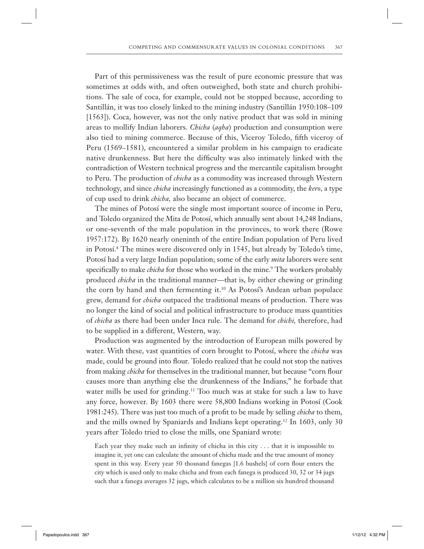Part of this permissiveness was the result of pure economic pressure that was sometimes at odds with, and often outweighed, both state and church prohibitions. The sale of coca, for example, could not be stopped because, according to Santillán, it was too closely linked to the mining industry (Santillán 1950:108–109 [1563]). Coca, however, was not the only native product that was sold in mining areas to mollify Indian laborers. *Chicha* (*aqha*) production and consumption were also tied to mining commerce. Because of this, Viceroy Toledo, fifth viceroy of Peru (1569–1581), encountered a similar problem in his campaign to eradicate native drunkenness. But here the difficulty was also intimately linked with the contradiction of Western technical progress and the mercantile capitalism brought to Peru. The production of *chicha* as a commodity was increased through Western technology, and since *chicha* increasingly functioned as a commodity, the *kero*, a type of cup used to drink *chicha,* also became an object of commerce.

The mines of Potosí were the single most important source of income in Peru, and Toledo organized the Mita de Potosí, which annually sent about 14,248 Indians, or one-seventh of the male population in the provinces, to work there (Rowe 1957:172). By 1620 nearly oneninth of the entire Indian population of Peru lived in Potosí.8 The mines were discovered only in 1545, but already by Toledo's time, Potosí had a very large Indian population; some of the early *mita* laborers were sent specifically to make *chicha* for those who worked in the mine.<sup>9</sup> The workers probably produced *chicha* in the traditional manner—that is, by either chewing or grinding the corn by hand and then fermenting it.10 As Potosí's Andean urban populace grew, demand for *chicha* outpaced the traditional means of production. There was no longer the kind of social and political infrastructure to produce mass quantities of *chicha* as there had been under Inca rule. The demand for *chichi,* therefore, had to be supplied in a different, Western, way.

Production was augmented by the introduction of European mills powered by water. With these, vast quantities of corn brought to Potosí, where the *chicha* was made, could be ground into flour. Toledo realized that he could not stop the natives from making *chicha* for themselves in the traditional manner, but because "corn flour causes more than anything else the drunkenness of the Indians," he forbade that water mills be used for grinding.<sup>11</sup> Too much was at stake for such a law to have any force, however. By 1603 there were 58,800 Indians working in Potosí (Cook 1981:245). There was just too much of a profit to be made by selling *chicha* to them, and the mills owned by Spaniards and Indians kept operating.12 In 1603, only 30 years after Toledo tried to close the mills, one Spaniard wrote:

Each year they make such an infinity of chicha in this city  $\dots$  that it is impossible to imagine it, yet one can calculate the amount of chicha made and the true amount of money spent in this way. Every year 50 thousand fanegas [1.6 bushels] of corn flour enters the city which is used only to make chicha and from each fanega is produced 30, 32 or 34 jugs such that a fanega averages 32 jugs, which calculates to be a million six hundred thousand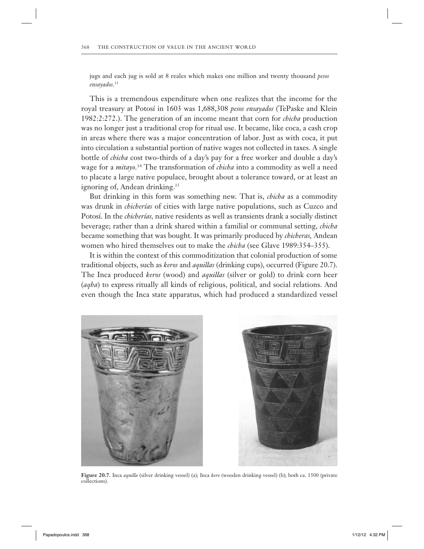jugs and each jug is sold at 8 reales which makes one million and twenty thousand *pesos ensayados*. 13

This is a tremendous expenditure when one realizes that the income for the royal treasury at Potosí in 1603 was 1,688,308 *pesos ensayados* (TePaske and Klein 1982:2:272.). The generation of an income meant that corn for *chicha* production was no longer just a traditional crop for ritual use. It became, like coca, a cash crop in areas where there was a major concentration of labor. Just as with coca, it put into circulation a substantial portion of native wages not collected in taxes. A single bottle of *chicha* cost two-thirds of a day's pay for a free worker and double a day's wage for a *mitayo.*14 The transformation of *chicha* into a commodity as well a need to placate a large native populace, brought about a tolerance toward, or at least an ignoring of, Andean drinking.15

But drinking in this form was something new. That is, *chicha* as a commodity was drunk in *chicherías* of cities with large native populations, such as Cuzco and Potosí. In the *chicherías,* native residents as well as transients drank a socially distinct beverage; rather than a drink shared within a familial or communal setting, *chicha*  became something that was bought. It was primarily produced by *chicheras,* Andean women who hired themselves out to make the *chicha* (see Glave 1989:354–355).

It is within the context of this commoditization that colonial production of some traditional objects, such as *keros* and *aquillas* (drinking cups), occurred (Figure 20.7). The Inca produced *keros* (wood) and *aquillas* (silver or gold) to drink corn beer (*aqha*) to express ritually all kinds of religious, political, and social relations. And even though the Inca state apparatus, which had produced a standardized vessel



**Figure 20.7.** Inca *aquilla* (silver drinking vessel) (a); Inca *kero* (wooden drinking vessel) (b); both ca. 1500 (private collections).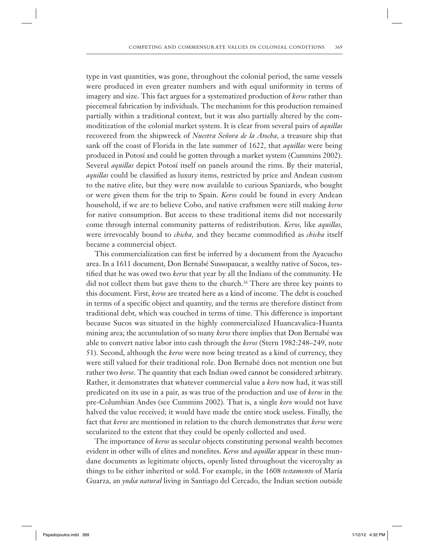type in vast quantities, was gone, throughout the colonial period, the same vessels were produced in even greater numbers and with equal uniformity in terms of imagery and size. This fact argues for a systematized production of *keros* rather than piecemeal fabrication by individuals. The mechanism for this production remained partially within a traditional context, but it was also partially altered by the commoditization of the colonial market system. It is clear from several pairs of *aquillas* recovered from the shipwreck of *Nuestra Señora de la Atocha,* a treasure ship that sank off the coast of Florida in the late summer of 1622, that *aquillas* were being produced in Potosí and could be gotten through a market system (Cummins 2002). Several *aquillas* depict Potosí itself on panels around the rims. By their material, *aquillas* could be classified as luxury items, restricted by price and Andean custom to the native elite, but they were now available to curious Spaniards, who bought or were given them for the trip to Spain. *Keros* could be found in every Andean household, if we are to believe Cobo, and native craftsmen were still making *keros* for native consumption. But access to these traditional items did not necessarily come through internal community patterns of redistribution. *Keros,* like *aquillas,* were irrevocably bound to *chicha,* and they became commodified as *chicha* itself became a commercial object.

This commercialization can first be inferred by a document from the Ayacucho area. In a 1611 document, Don Bernabé Sussopaucar, a wealthy native of Sucos, testified that he was owed two *keros* that year by all the Indians of the community. He did not collect them but gave them to the church.<sup>16</sup> There are three key points to this document. First, *keros* are treated here as a kind of income. The debt is couched in terms of a specific object and quantity, and the terms are therefore distinct from traditional debt, which was couched in terms of time. This difference is important because Sucos was situated in the highly commercialized Huancavalica-Huanta mining area; the accumulation of so many *keros* there implies that Don Bernabé was able to convert native labor into cash through the *keros* (Stern 1982:248–249, note 51). Second, although the *keros* were now being treated as a kind of currency, they were still valued for their traditional role. Don Bernabé does not mention one but rather two *keros*. The quantity that each Indian owed cannot be considered arbitrary. Rather, it demonstrates that whatever commercial value a *kero* now had, it was still predicated on its use in a pair, as was true of the production and use of *keros* in the pre-Columbian Andes (see Cummins 2002). That is, a single *kero* would not have halved the value received; it would have made the entire stock useless. Finally, the fact that *keros* are mentioned in relation to the church demonstrates that *keros* were secularized to the extent that they could be openly collected and used.

The importance of *keros* as secular objects constituting personal wealth becomes evident in other wills of elites and nonelites. *Keros* and *aquillas* appear in these mundane documents as legitimate objects, openly listed throughout the viceroyalty as things to be either inherited or sold. For example, in the 1608 *testamento* of María Guarza, an *yndia natural* living in Santiago del Cercado, the Indian section outside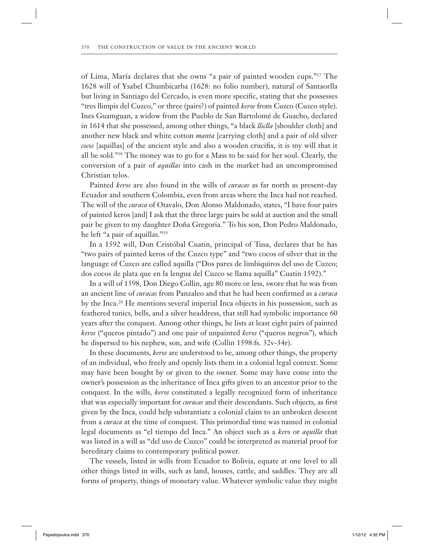of Lima, María declares that she owns "a pair of painted wooden cups."17 The 1628 will of Ysabel Chumbicarba (1628: no folio number), natural of Santaorlla but living in Santiago del Cercado, is even more specific, stating that she possesses "tres llimpis del Cuzco," or three (pairs?) of painted *keros* from Cuzco (Cuzco style). Ines Guamguan, a widow from the Pueblo de San Bartolomé de Guacho, declared in 1614 that she possessed, among other things, "a black *lliclla* [shoulder cloth] and another new black and white cotton *manta* [carrying cloth] and a pair of old silver *cocos* [aquillas] of the ancient style and also a wooden crucifix, it is my will that it all be sold."18 The money was to go for a Mass to be said for her soul. Clearly, the conversion of a pair of *aquillas* into cash in the market had an uncompromised Christian telos.

Painted *keros* are also found in the wills of *curacas* as far north as present-day Ecuador and southern Colombia, even from areas where the Inca had not reached. The will of the *curaca* of Otavalo, Don Alonso Maldonado, states, "I have four pairs of painted keros [and] I ask that the three large pairs be sold at auction and the small pair be given to my daughter Doña Gregoria." To his son, Don Pedro Maldonado, he left "a pair of aquillas."19

In a 1592 will, Don Cristóbal Cuatin, principal of Tusa, declares that he has "two pairs of painted keros of the Cuzco type" and "two cocos of silver that in the language of Cuzco are called aquilla ("Dos pares de limbiquiros del uso de Cuzco; dos cocos de plata que en la lengua del Cuzco se llama aquilla" Cuatin 1592)."

In a will of 1598, Don Diego Collin, age 80 more or less, swore that he was from an ancient line of *curacas* from Panzaleo and that he had been confirmed as a *curaca* by the Inca.20 He mentions several imperial Inca objects in his possession, such as feathered tunics, bells, and a silver headdress, that still had symbolic importance 60 years after the conquest. Among other things, he lists at least eight pairs of painted *keros* ("queros pintado") and one pair of unpainted *keros* ("queros negros"), which he dispersed to his nephew, son, and wife (Collin 1598:fs. 32v-34r).

In these documents, *keros* are understood to be, among other things, the property of an individual, who freely and openly lists them in a colonial legal context. Some may have been bought by or given to the owner. Some may have come into the owner's possession as the inheritance of Inca gifts given to an ancestor prior to the conquest. In the wills, *keros* constituted a legally recognized form of inheritance that was especially important for *curacas* and their descendants. Such objects, as first given by the Inca, could help substantiate a colonial claim to an unbroken descent from a *curaca* at the time of conquest. This primordial time was named in colonial legal documents as "el tiempo del Inca." An object such as a *kero* or *aquilla* that was listed in a will as "del uso de Cuzco" could be interpreted as material proof for hereditary claims to contemporary political power.

The vessels, listed in wills from Ecuador to Bolivia, equate at one level to all other things listed in wills, such as land, houses, cattle, and saddles. They are all forms of property, things of monetary value. Whatever symbolic value they might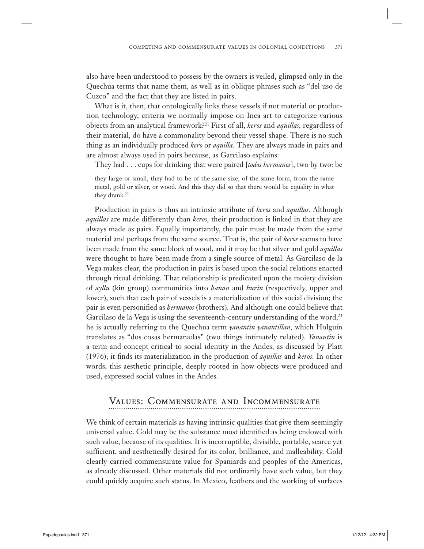also have been understood to possess by the owners is veiled, glimpsed only in the Quechua terms that name them, as well as in oblique phrases such as "del uso de Cuzco" and the fact that they are listed in pairs.

What is it, then, that ontologically links these vessels if not material or production technology, criteria we normally impose on Inca art to categorize various objects from an analytical framework?21 First of all, *keros* and *aquillas,* regardless of their material, do have a commonality beyond their vessel shape. There is no such thing as an individually produced *kero* or *aquilla*. They are always made in pairs and are almost always used in pairs because, as Garcilaso explains:

They had . . . cups for drinking that were paired [*todos hermanos*], two by two: be

they large or small, they had to be of the same size, of the same form, from the same metal, gold or silver, or wood. And this they did so that there would be equality in what they drank.<sup>22</sup>

Production in pairs is thus an intrinsic attribute of *keros* and *aquillas*. Although *aquillas* are made differently than *keros,* their production is linked in that they are always made as pairs. Equally importantly, the pair must be made from the same material and perhaps from the same source. That is, the pair of *keros* seems to have been made from the same block of wood, and it may be that silver and gold *aquillas* were thought to have been made from a single source of metal. As Garcilaso de la Vega makes clear, the production in pairs is based upon the social relations enacted through ritual drinking. That relationship is predicated upon the moiety division of *ayllu* (kin group) communities into *hanan* and *hurin* (respectively, upper and lower), such that each pair of vessels is a materialization of this social division; the pair is even personified as *hermanos* (brothers). And although one could believe that Garcilaso de la Vega is using the seventeenth-century understanding of the word,<sup>23</sup> he is actually referring to the Quechua term *yanantin yanantillan,* which Holguín translates as "dos cosas hermanadas" (two things intimately related). *Yanantin* is a term and concept critical to social identity in the Andes, as discussed by Platt (1976); it finds its materialization in the production of *aquillas* and *keros.* In other words, this aesthetic principle, deeply rooted in how objects were produced and used, expressed social values in the Andes.

## Values: Commensurate and Incommensurate

We think of certain materials as having intrinsic qualities that give them seemingly universal value. Gold may be the substance most identified as being endowed with such value, because of its qualities. It is incorruptible, divisible, portable, scarce yet sufficient, and aesthetically desired for its color, brilliance, and malleability. Gold clearly carried commensurate value for Spaniards and peoples of the Americas, as already discussed. Other materials did not ordinarily have such value, but they could quickly acquire such status. In Mexico, feathers and the working of surfaces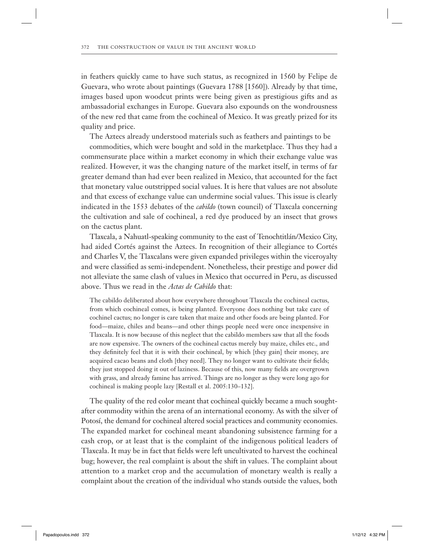in feathers quickly came to have such status, as recognized in 1560 by Felipe de Guevara, who wrote about paintings (Guevara 1788 [1560]). Already by that time, images based upon woodcut prints were being given as prestigious gifts and as ambassadorial exchanges in Europe. Guevara also expounds on the wondrousness of the new red that came from the cochineal of Mexico. It was greatly prized for its quality and price.

The Aztecs already understood materials such as feathers and paintings to be

commodities, which were bought and sold in the marketplace. Thus they had a commensurate place within a market economy in which their exchange value was realized. However, it was the changing nature of the market itself, in terms of far greater demand than had ever been realized in Mexico, that accounted for the fact that monetary value outstripped social values. It is here that values are not absolute and that excess of exchange value can undermine social values. This issue is clearly indicated in the 1553 debates of the *cabildo* (town council) of Tlaxcala concerning the cultivation and sale of cochineal, a red dye produced by an insect that grows on the cactus plant.

Tlaxcala, a Nahuatl-speaking community to the east of Tenochtitlán/Mexico City, had aided Cortés against the Aztecs. In recognition of their allegiance to Cortés and Charles V, the Tlaxcalans were given expanded privileges within the viceroyalty and were classified as semi-independent. Nonetheless, their prestige and power did not alleviate the same clash of values in Mexico that occurred in Peru, as discussed above. Thus we read in the *Actas de Cabildo* that:

The cabildo deliberated about how everywhere throughout Tlaxcala the cochineal cactus, from which cochineal comes, is being planted. Everyone does nothing but take care of cochinel cactus; no longer is care taken that maize and other foods are being planted. For food—maize, chiles and beans—and other things people need were once inexpensive in Tlaxcala. It is now because of this neglect that the cabildo members saw that all the foods are now expensive. The owners of the cochineal cactus merely buy maize, chiles etc., and they definitely feel that it is with their cochineal, by which [they gain] their money, are acquired cacao beans and cloth [they need]. They no longer want to cultivate their fields; they just stopped doing it out of laziness. Because of this, now many fields are overgrown with grass, and already famine has arrived. Things are no longer as they were long ago for cochineal is making people lazy [Restall et al. 2005:130–132].

The quality of the red color meant that cochineal quickly became a much soughtafter commodity within the arena of an international economy. As with the silver of Potosí, the demand for cochineal altered social practices and community economies. The expanded market for cochineal meant abandoning subsistence farming for a cash crop, or at least that is the complaint of the indigenous political leaders of Tlaxcala. It may be in fact that fields were left uncultivated to harvest the cochineal bug; however, the real complaint is about the shift in values. The complaint about attention to a market crop and the accumulation of monetary wealth is really a complaint about the creation of the individual who stands outside the values, both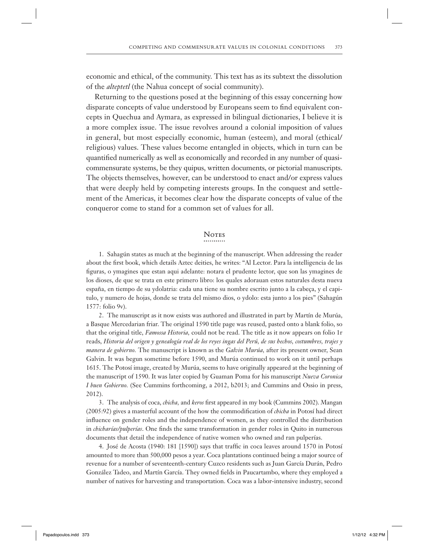economic and ethical, of the community. This text has as its subtext the dissolution of the *alteptetl* (the Nahua concept of social community).

Returning to the questions posed at the beginning of this essay concerning how disparate concepts of value understood by Europeans seem to find equivalent concepts in Quechua and Aymara, as expressed in bilingual dictionaries, I believe it is a more complex issue. The issue revolves around a colonial imposition of values in general, but most especially economic, human (esteem), and moral (ethical/ religious) values. These values become entangled in objects, which in turn can be quantified numerically as well as economically and recorded in any number of quasicommensurate systems, be they quipus, written documents, or pictorial manuscripts. The objects themselves, however, can be understood to enact and/or express values that were deeply held by competing interests groups. In the conquest and settlement of the Americas, it becomes clear how the disparate concepts of value of the conqueror come to stand for a common set of values for all.

#### **Notes**

1. Sahagún states as much at the beginning of the manuscript. When addressing the reader about the first book, which details Aztec deities, he writes: "Al Lector. Para la intelligencia de las figuras, o ymagines que estan aqui adelante: notara el prudente lector, que son las ymagines de los dioses, de que se trata en este primero libro: los quales adorauan estos naturales desta nueva españa, en tiempo de su ydolatria: cada una tiene su nombre escrito junto a la cabeça, y el capitulo, y numero de hojas, donde se trata del mismo dios, o ydolo: esta junto a los pies" (Sahagún 1577: folio 9v).

2. The manuscript as it now exists was authored and illustrated in part by Martín de Murúa, a Basque Mercedarian friar. The original 1590 title page was reused, pasted onto a blank folio, so that the original title, *Famossa Historia,* could not be read. The title as it now appears on folio 1r reads, *Historia del origen y genealogía real de los reyes ingas del Perú, de sus hechos, costumbres, trajes y manera de gobierno.* The manuscript is known as the *Galvin Murúa,* after its present owner, Sean Galvin. It was begun sometime before 1590, and Murúa continued to work on it until perhaps 1615. The Potosí image, created by Murúa, seems to have originally appeared at the beginning of the manuscript of 1590. It was later copied by Guaman Poma for his manuscript *Nueva Coronica I buen Gobierno.* (See Cummins forthcoming, a 2012, b2013; and Cummins and Ossio in press, 2012).

3. The analysis of coca, *chicha,* and *keros* first appeared in my book (Cummins 2002). Mangan (2005:92) gives a masterful account of the how the commodification of *chicha* in Potosí had direct influence on gender roles and the independence of women, as they controlled the distribution in *chicharías/pulperías*. One finds the same transformation in gender roles in Quito in numerous documents that detail the independence of native women who owned and ran pulperías.

4. José de Acosta (1940: 181 [1590]) says that traffic in coca leaves around 1570 in Potosí amounted to more than 500,000 pesos a year. Coca plantations continued being a major source of revenue for a number of seventeenth-century Cuzco residents such as Juan García Durán, Pedro González Tadeo, and Martín García. They owned fields in Paucartambo, where they employed a number of natives for harvesting and transportation. Coca was a labor-intensive industry, second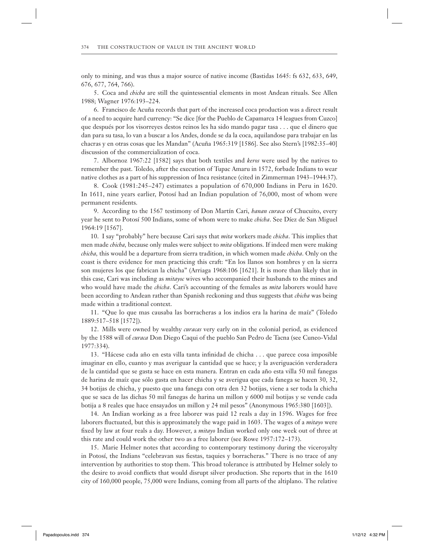only to mining, and was thus a major source of native income (Bastidas 1645: fs 632, 633, 649, 676, 677, 764, 766).

5. Coca and *chicha* are still the quintessential elements in most Andean rituals. See Allen 1988; Wagner 1976:193–224.

6. Francisco de Acuña records that part of the increased coca production was a direct result of a need to acquire hard currency: "Se dice [for the Pueblo de Capamarca 14 leagues from Cuzco] que después por los visorreyes destos reinos les ha sido mando pagar tasa . . . que el dinero que dan para su tasa, lo van a buscar a los Andes, donde se da la coca, aquilandose para trabajar en las chacras y en otras cosas que les Mandan" (Acuña 1965:319 [1586]. See also Stern's [1982:35–40] discussion of the commercialization of coca.

7. Albornoz 1967:22 [1582] says that both textiles and *keros* were used by the natives to remember the past. Toledo, after the execution of Tupac Amaru in 1572, forbade Indians to wear native clothes as a part of his suppression of Inca resistance (cited in Zimmerman 1943–1944:37).

8. Cook (1981:245–247) estimates a population of 670,000 Indians in Peru in 1620. In 1611, nine years earlier, Potosí had an Indian population of 76,000, most of whom were permanent residents.

9. According to the 1567 testimony of Don Martín Cari, *hanan curaca* of Chucuito, every year he sent to Potosí 500 Indians, some of whom were to make *chicha*. See Díez de San Miguel 1964:19 [1567].

10. I say "probably" here because Cari says that *mita* workers made *chicha*. This implies that men made *chicha,* because only males were subject to *mita* obligations. If indeed men were making *chicha,* this would be a departure from sierra tradition, in which women made *chicha*. Only on the coast is there evidence for men practicing this craft: "En los llanos son hombres y en la sierra son mujeres los que fabrican la chicha" (Arriaga 1968:106 [1621]. It is more than likely that in this case, Cari was including as *mitayoc* wives who accompanied their husbands to the mines and who would have made the *chicha*. Cari's accounting of the females as *mita* laborers would have been according to Andean rather than Spanish reckoning and thus suggests that *chicha* was being made within a traditional context.

11. "Que lo que mas causaba las borracheras a los indios era la harina de maíz" (Toledo 1889:517–518 [1572]).

12. Mills were owned by wealthy *curacas* very early on in the colonial period, as evidenced by the 1588 will of *curaca* Don Diego Caqui of the pueblo San Pedro de Tacna (see Cuneo-Vidal 1977:334).

13. "Hácese cada año en esta villa tanta infinidad de chicha . . . que parece cosa imposible imaginar en ello, cuanto y mas averiguar la cantidad que se hace; y la averiguación verderadera de la cantidad que se gasta se hace en esta manera. Entran en cada año esta villa 50 mil fanegas de harina de maíz que sólo gasta en hacer chicha y se averigua que cada fanega se hacen 30, 32, 34 botijas de chicha, y puesto que una fanega con otra den 32 botijas, viene a ser toda la chicha que se saca de las dichas 50 mil fanegas de harina un millon y 6000 mil botijas y se vende cada botija a 8 reales que hace ensayados un millon y 24 mil pesos" (Anonymous 1965:380 [1603]).

14. An Indian working as a free laborer was paid 12 reals a day in 1596. Wages for free laborers fluctuated, but this is approximately the wage paid in 1603. The wages of a *mitayo* were fixed by law at four reals a day. However, a *mitayo* Indian worked only one week out of three at this rate and could work the other two as a free laborer (see Rowe 1957:172–173).

15. Marie Helmer notes that according to contemporary testimony during the viceroyalty in Potosí, the Indians "celebravan sus fiestas, taquies y borracheras." There is no trace of any intervention by authorities to stop them. This broad tolerance is attributed by Helmer solely to the desire to avoid conflicts that would disrupt silver production. She reports that in the 1610 city of 160,000 people, 75,000 were Indians, coming from all parts of the altiplano. The relative